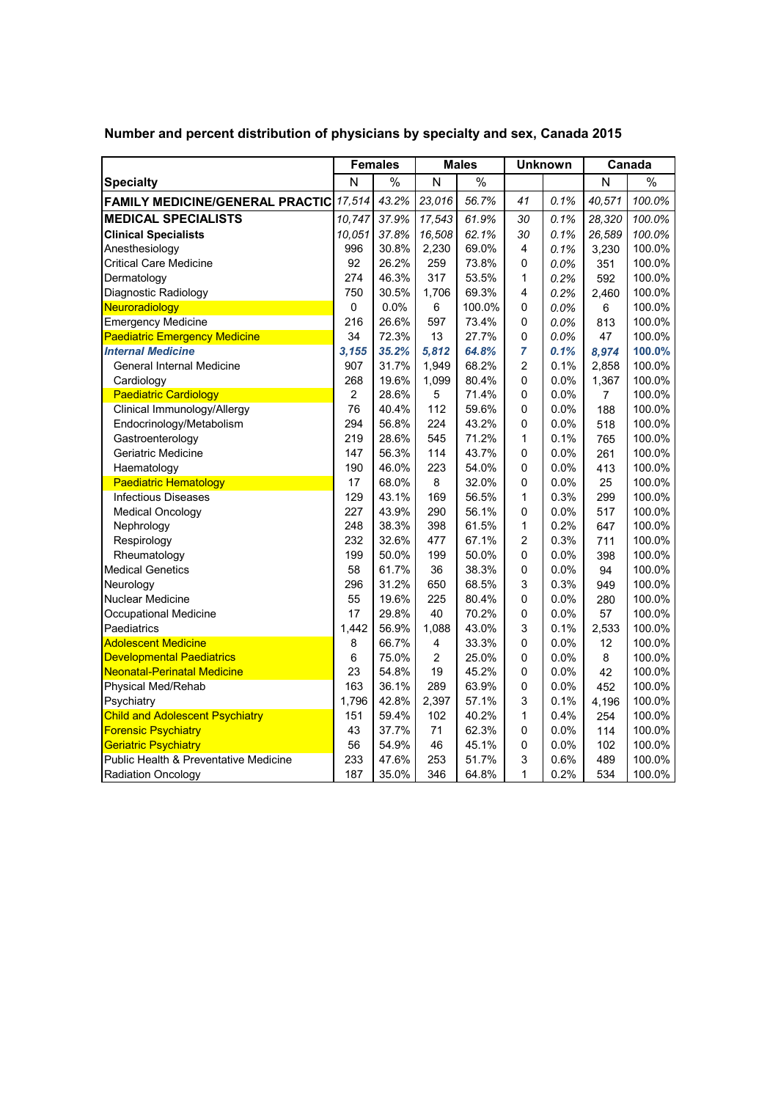|                                        | <b>Females</b> |       | <b>Males</b>   |        | <b>Unknown</b> |      | Canada         |        |
|----------------------------------------|----------------|-------|----------------|--------|----------------|------|----------------|--------|
| <b>Specialty</b>                       | N              | $\%$  | N              | $\%$   |                |      | N              | $\%$   |
| <b>FAMILY MEDICINE/GENERAL PRACTIC</b> | 17,514         | 43.2% | 23,016         | 56.7%  | 41             | 0.1% | 40,571         | 100.0% |
| <b>MEDICAL SPECIALISTS</b>             | 10,747         | 37.9% | 17,543         | 61.9%  | 30             | 0.1% | 28,320         | 100.0% |
| <b>Clinical Specialists</b>            | 10.051         | 37.8% | 16,508         | 62.1%  | 30             | 0.1% | 26,589         | 100.0% |
| Anesthesiology                         | 996            | 30.8% | 2,230          | 69.0%  | 4              | 0.1% | 3,230          | 100.0% |
| <b>Critical Care Medicine</b>          | 92             | 26.2% | 259            | 73.8%  | 0              | 0.0% | 351            | 100.0% |
| Dermatology                            | 274            | 46.3% | 317            | 53.5%  | 1              | 0.2% | 592            | 100.0% |
| Diagnostic Radiology                   | 750            | 30.5% | 1,706          | 69.3%  | 4              | 0.2% | 2,460          | 100.0% |
| Neuroradiology                         | 0              | 0.0%  | 6              | 100.0% | 0              | 0.0% | 6              | 100.0% |
| <b>Emergency Medicine</b>              | 216            | 26.6% | 597            | 73.4%  | 0              | 0.0% | 813            | 100.0% |
| <b>Paediatric Emergency Medicine</b>   | 34             | 72.3% | 13             | 27.7%  | $\mathsf 0$    | 0.0% | 47             | 100.0% |
| <b>Internal Medicine</b>               | 3,155          | 35.2% | 5,812          | 64.8%  | 7              | 0.1% | 8,974          | 100.0% |
| General Internal Medicine              | 907            | 31.7% | 1,949          | 68.2%  | $\overline{c}$ | 0.1% | 2,858          | 100.0% |
| Cardiology                             | 268            | 19.6% | 1,099          | 80.4%  | 0              | 0.0% | 1,367          | 100.0% |
| <b>Paediatric Cardiology</b>           | 2              | 28.6% | 5              | 71.4%  | 0              | 0.0% | $\overline{7}$ | 100.0% |
| Clinical Immunology/Allergy            | 76             | 40.4% | 112            | 59.6%  | 0              | 0.0% | 188            | 100.0% |
| Endocrinology/Metabolism               | 294            | 56.8% | 224            | 43.2%  | 0              | 0.0% | 518            | 100.0% |
| Gastroenterology                       | 219            | 28.6% | 545            | 71.2%  | 1              | 0.1% | 765            | 100.0% |
| Geriatric Medicine                     | 147            | 56.3% | 114            | 43.7%  | 0              | 0.0% | 261            | 100.0% |
| Haematology                            | 190            | 46.0% | 223            | 54.0%  | 0              | 0.0% | 413            | 100.0% |
| <b>Paediatric Hematology</b>           | 17             | 68.0% | 8              | 32.0%  | 0              | 0.0% | 25             | 100.0% |
| <b>Infectious Diseases</b>             | 129            | 43.1% | 169            | 56.5%  | 1              | 0.3% | 299            | 100.0% |
| <b>Medical Oncology</b>                | 227            | 43.9% | 290            | 56.1%  | 0              | 0.0% | 517            | 100.0% |
| Nephrology                             | 248            | 38.3% | 398            | 61.5%  | 1              | 0.2% | 647            | 100.0% |
| Respirology                            | 232            | 32.6% | 477            | 67.1%  | 2              | 0.3% | 711            | 100.0% |
| Rheumatology                           | 199            | 50.0% | 199            | 50.0%  | 0              | 0.0% | 398            | 100.0% |
| <b>Medical Genetics</b>                | 58             | 61.7% | 36             | 38.3%  | $\mathsf 0$    | 0.0% | 94             | 100.0% |
| Neurology                              | 296            | 31.2% | 650            | 68.5%  | 3              | 0.3% | 949            | 100.0% |
| <b>Nuclear Medicine</b>                | 55             | 19.6% | 225            | 80.4%  | 0              | 0.0% | 280            | 100.0% |
| Occupational Medicine                  | 17             | 29.8% | 40             | 70.2%  | $\mathsf 0$    | 0.0% | 57             | 100.0% |
| Paediatrics                            | 1,442          | 56.9% | 1,088          | 43.0%  | 3              | 0.1% | 2,533          | 100.0% |
| <b>Adolescent Medicine</b>             | 8              | 66.7% | 4              | 33.3%  | 0              | 0.0% | 12             | 100.0% |
| <b>Developmental Paediatrics</b>       | 6              | 75.0% | $\overline{2}$ | 25.0%  | 0              | 0.0% | 8              | 100.0% |
| <b>Neonatal-Perinatal Medicine</b>     | 23             | 54.8% | 19             | 45.2%  | 0              | 0.0% | 42             | 100.0% |
| Physical Med/Rehab                     | 163            | 36.1% | 289            | 63.9%  | $\mathsf 0$    | 0.0% | 452            | 100.0% |
| Psychiatry                             | 1,796          | 42.8% | 2,397          | 57.1%  | 3              | 0.1% | 4,196          | 100.0% |
| <b>Child and Adolescent Psychiatry</b> | 151            | 59.4% | 102            | 40.2%  | 1              | 0.4% | 254            | 100.0% |
| <b>Forensic Psychiatry</b>             | 43             | 37.7% | 71             | 62.3%  | 0              | 0.0% | 114            | 100.0% |
| <b>Geriatric Psychiatry</b>            | 56             | 54.9% | 46             | 45.1%  | $\mathsf 0$    | 0.0% | 102            | 100.0% |
| Public Health & Preventative Medicine  | 233            | 47.6% | 253            | 51.7%  | 3              | 0.6% | 489            | 100.0% |
| <b>Radiation Oncology</b>              | 187            | 35.0% | 346            | 64.8%  | 1              | 0.2% | 534            | 100.0% |

 **Number and percent distribution of physicians by specialty and sex, Canada 2015**